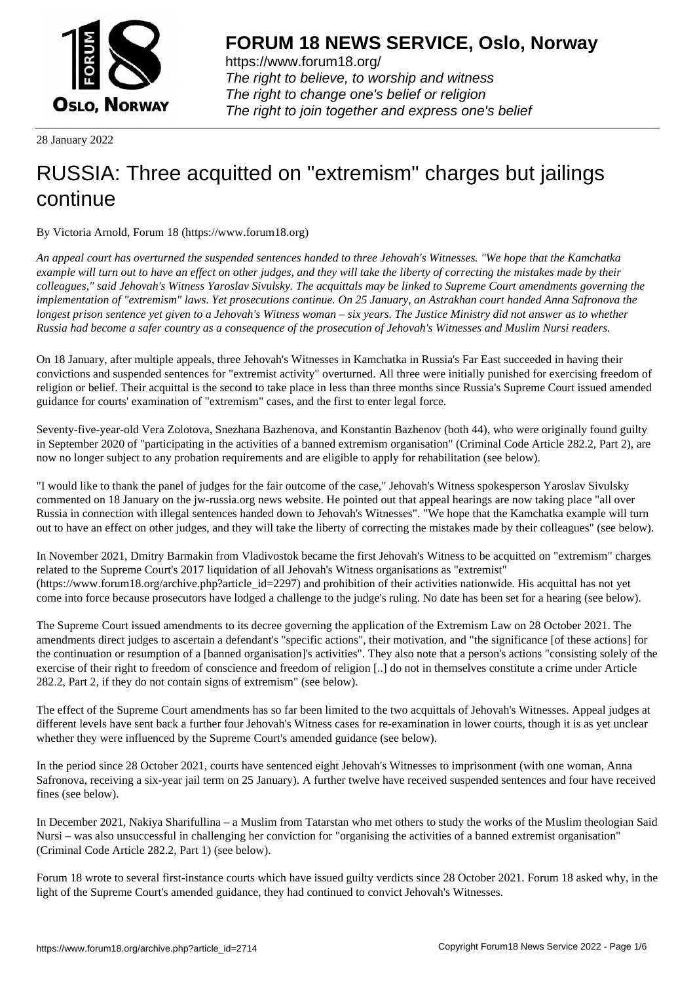

https://www.forum18.org/ The right to believe, to worship and witness The right to change one's belief or religion [The right to join together a](https://www.forum18.org/)nd express one's belief

28 January 2022

## [RUSSIA: Three](https://www.forum18.org) acquitted on "extremism" charges but jailings continue

By Victoria Arnold, Forum 18 (https://www.forum18.org)

*An appeal court has overturned the suspended sentences handed to three Jehovah's Witnesses. "We hope that the Kamchatka example will turn out to have an effect on other judges, and they will take the liberty of correcting the mistakes made by their colleagues," said Jehovah's Witness Yaroslav Sivulsky. The acquittals may be linked to Supreme Court amendments governing the implementation of "extremism" laws. Yet prosecutions continue. On 25 January, an Astrakhan court handed Anna Safronova the longest prison sentence yet given to a Jehovah's Witness woman – six years. The Justice Ministry did not answer as to whether Russia had become a safer country as a consequence of the prosecution of Jehovah's Witnesses and Muslim Nursi readers.*

On 18 January, after multiple appeals, three Jehovah's Witnesses in Kamchatka in Russia's Far East succeeded in having their convictions and suspended sentences for "extremist activity" overturned. All three were initially punished for exercising freedom of religion or belief. Their acquittal is the second to take place in less than three months since Russia's Supreme Court issued amended guidance for courts' examination of "extremism" cases, and the first to enter legal force.

Seventy-five-year-old Vera Zolotova, Snezhana Bazhenova, and Konstantin Bazhenov (both 44), who were originally found guilty in September 2020 of "participating in the activities of a banned extremism organisation" (Criminal Code Article 282.2, Part 2), are now no longer subject to any probation requirements and are eligible to apply for rehabilitation (see below).

"I would like to thank the panel of judges for the fair outcome of the case," Jehovah's Witness spokesperson Yaroslav Sivulsky commented on 18 January on the jw-russia.org news website. He pointed out that appeal hearings are now taking place "all over Russia in connection with illegal sentences handed down to Jehovah's Witnesses". "We hope that the Kamchatka example will turn out to have an effect on other judges, and they will take the liberty of correcting the mistakes made by their colleagues" (see below).

In November 2021, Dmitry Barmakin from Vladivostok became the first Jehovah's Witness to be acquitted on "extremism" charges related to the Supreme Court's 2017 liquidation of all Jehovah's Witness organisations as "extremist" (https://www.forum18.org/archive.php?article\_id=2297) and prohibition of their activities nationwide. His acquittal has not yet come into force because prosecutors have lodged a challenge to the judge's ruling. No date has been set for a hearing (see below).

The Supreme Court issued amendments to its decree governing the application of the Extremism Law on 28 October 2021. The amendments direct judges to ascertain a defendant's "specific actions", their motivation, and "the significance [of these actions] for the continuation or resumption of a [banned organisation]'s activities". They also note that a person's actions "consisting solely of the exercise of their right to freedom of conscience and freedom of religion [..] do not in themselves constitute a crime under Article 282.2, Part 2, if they do not contain signs of extremism" (see below).

The effect of the Supreme Court amendments has so far been limited to the two acquittals of Jehovah's Witnesses. Appeal judges at different levels have sent back a further four Jehovah's Witness cases for re-examination in lower courts, though it is as yet unclear whether they were influenced by the Supreme Court's amended guidance (see below).

In the period since 28 October 2021, courts have sentenced eight Jehovah's Witnesses to imprisonment (with one woman, Anna Safronova, receiving a six-year jail term on 25 January). A further twelve have received suspended sentences and four have received fines (see below).

In December 2021, Nakiya Sharifullina – a Muslim from Tatarstan who met others to study the works of the Muslim theologian Said Nursi – was also unsuccessful in challenging her conviction for "organising the activities of a banned extremist organisation" (Criminal Code Article 282.2, Part 1) (see below).

Forum 18 wrote to several first-instance courts which have issued guilty verdicts since 28 October 2021. Forum 18 asked why, in the light of the Supreme Court's amended guidance, they had continued to convict Jehovah's Witnesses.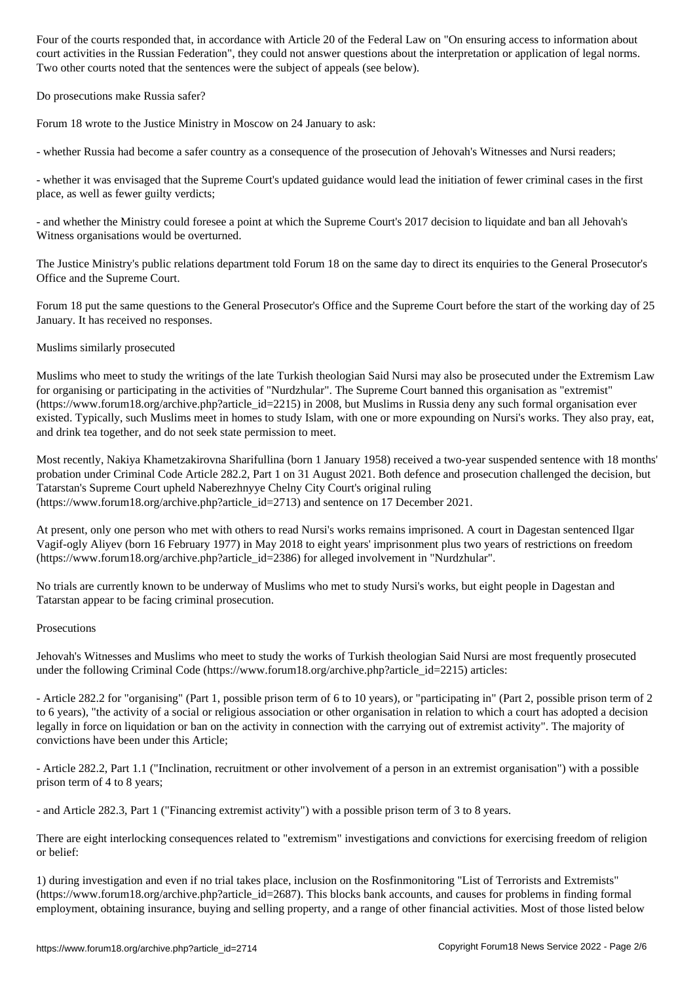court activities in the Russian Federation", they could not answer questions about the interpretation or application of legal norms. Two other courts noted that the sentences were the subject of appeals (see below).

Do prosecutions make Russia safer?

Forum 18 wrote to the Justice Ministry in Moscow on 24 January to ask:

- whether Russia had become a safer country as a consequence of the prosecution of Jehovah's Witnesses and Nursi readers;

- whether it was envisaged that the Supreme Court's updated guidance would lead the initiation of fewer criminal cases in the first place, as well as fewer guilty verdicts;

- and whether the Ministry could foresee a point at which the Supreme Court's 2017 decision to liquidate and ban all Jehovah's Witness organisations would be overturned.

The Justice Ministry's public relations department told Forum 18 on the same day to direct its enquiries to the General Prosecutor's Office and the Supreme Court.

Forum 18 put the same questions to the General Prosecutor's Office and the Supreme Court before the start of the working day of 25 January. It has received no responses.

## Muslims similarly prosecuted

Muslims who meet to study the writings of the late Turkish theologian Said Nursi may also be prosecuted under the Extremism Law for organising or participating in the activities of "Nurdzhular". The Supreme Court banned this organisation as "extremist" (https://www.forum18.org/archive.php?article\_id=2215) in 2008, but Muslims in Russia deny any such formal organisation ever existed. Typically, such Muslims meet in homes to study Islam, with one or more expounding on Nursi's works. They also pray, eat, and drink tea together, and do not seek state permission to meet.

Most recently, Nakiya Khametzakirovna Sharifullina (born 1 January 1958) received a two-year suspended sentence with 18 months' probation under Criminal Code Article 282.2, Part 1 on 31 August 2021. Both defence and prosecution challenged the decision, but Tatarstan's Supreme Court upheld Naberezhnyye Chelny City Court's original ruling (https://www.forum18.org/archive.php?article\_id=2713) and sentence on 17 December 2021.

At present, only one person who met with others to read Nursi's works remains imprisoned. A court in Dagestan sentenced Ilgar Vagif-ogly Aliyev (born 16 February 1977) in May 2018 to eight years' imprisonment plus two years of restrictions on freedom (https://www.forum18.org/archive.php?article\_id=2386) for alleged involvement in "Nurdzhular".

No trials are currently known to be underway of Muslims who met to study Nursi's works, but eight people in Dagestan and Tatarstan appear to be facing criminal prosecution.

## **Prosecutions**

Jehovah's Witnesses and Muslims who meet to study the works of Turkish theologian Said Nursi are most frequently prosecuted under the following Criminal Code (https://www.forum18.org/archive.php?article\_id=2215) articles:

- Article 282.2 for "organising" (Part 1, possible prison term of 6 to 10 years), or "participating in" (Part 2, possible prison term of 2 to 6 years), "the activity of a social or religious association or other organisation in relation to which a court has adopted a decision legally in force on liquidation or ban on the activity in connection with the carrying out of extremist activity". The majority of convictions have been under this Article;

- Article 282.2, Part 1.1 ("Inclination, recruitment or other involvement of a person in an extremist organisation") with a possible prison term of 4 to 8 years;

- and Article 282.3, Part 1 ("Financing extremist activity") with a possible prison term of 3 to 8 years.

There are eight interlocking consequences related to "extremism" investigations and convictions for exercising freedom of religion or belief:

1) during investigation and even if no trial takes place, inclusion on the Rosfinmonitoring "List of Terrorists and Extremists" (https://www.forum18.org/archive.php?article\_id=2687). This blocks bank accounts, and causes for problems in finding formal employment, obtaining insurance, buying and selling property, and a range of other financial activities. Most of those listed below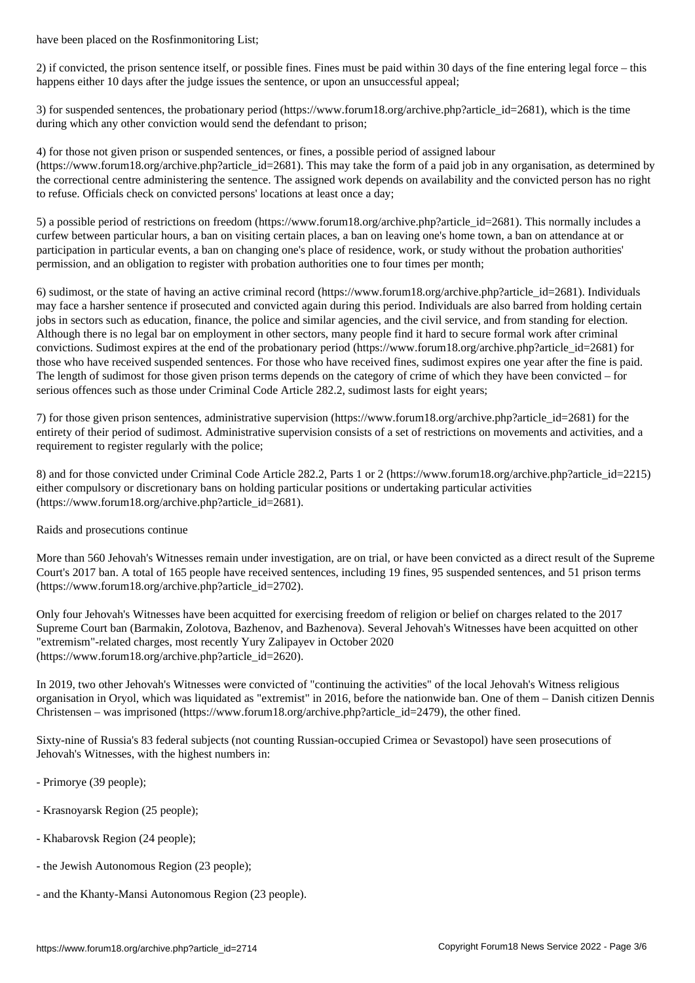2) if convicted, the prison sentence itself, or possible fines. Fines must be paid within 30 days of the fine entering legal force – this happens either 10 days after the judge issues the sentence, or upon an unsuccessful appeal;

3) for suspended sentences, the probationary period (https://www.forum18.org/archive.php?article\_id=2681), which is the time during which any other conviction would send the defendant to prison;

4) for those not given prison or suspended sentences, or fines, a possible period of assigned labour

(https://www.forum18.org/archive.php?article\_id=2681). This may take the form of a paid job in any organisation, as determined by the correctional centre administering the sentence. The assigned work depends on availability and the convicted person has no right to refuse. Officials check on convicted persons' locations at least once a day;

5) a possible period of restrictions on freedom (https://www.forum18.org/archive.php?article\_id=2681). This normally includes a curfew between particular hours, a ban on visiting certain places, a ban on leaving one's home town, a ban on attendance at or participation in particular events, a ban on changing one's place of residence, work, or study without the probation authorities' permission, and an obligation to register with probation authorities one to four times per month;

6) sudimost, or the state of having an active criminal record (https://www.forum18.org/archive.php?article\_id=2681). Individuals may face a harsher sentence if prosecuted and convicted again during this period. Individuals are also barred from holding certain jobs in sectors such as education, finance, the police and similar agencies, and the civil service, and from standing for election. Although there is no legal bar on employment in other sectors, many people find it hard to secure formal work after criminal convictions. Sudimost expires at the end of the probationary period (https://www.forum18.org/archive.php?article\_id=2681) for those who have received suspended sentences. For those who have received fines, sudimost expires one year after the fine is paid. The length of sudimost for those given prison terms depends on the category of crime of which they have been convicted – for serious offences such as those under Criminal Code Article 282.2, sudimost lasts for eight years;

7) for those given prison sentences, administrative supervision (https://www.forum18.org/archive.php?article\_id=2681) for the entirety of their period of sudimost. Administrative supervision consists of a set of restrictions on movements and activities, and a requirement to register regularly with the police;

8) and for those convicted under Criminal Code Article 282.2, Parts 1 or 2 (https://www.forum18.org/archive.php?article\_id=2215) either compulsory or discretionary bans on holding particular positions or undertaking particular activities (https://www.forum18.org/archive.php?article\_id=2681).

Raids and prosecutions continue

More than 560 Jehovah's Witnesses remain under investigation, are on trial, or have been convicted as a direct result of the Supreme Court's 2017 ban. A total of 165 people have received sentences, including 19 fines, 95 suspended sentences, and 51 prison terms (https://www.forum18.org/archive.php?article\_id=2702).

Only four Jehovah's Witnesses have been acquitted for exercising freedom of religion or belief on charges related to the 2017 Supreme Court ban (Barmakin, Zolotova, Bazhenov, and Bazhenova). Several Jehovah's Witnesses have been acquitted on other "extremism"-related charges, most recently Yury Zalipayev in October 2020 (https://www.forum18.org/archive.php?article\_id=2620).

In 2019, two other Jehovah's Witnesses were convicted of "continuing the activities" of the local Jehovah's Witness religious organisation in Oryol, which was liquidated as "extremist" in 2016, before the nationwide ban. One of them – Danish citizen Dennis Christensen – was imprisoned (https://www.forum18.org/archive.php?article  $id=2479$ ), the other fined.

Sixty-nine of Russia's 83 federal subjects (not counting Russian-occupied Crimea or Sevastopol) have seen prosecutions of Jehovah's Witnesses, with the highest numbers in:

- Primorye (39 people);
- Krasnoyarsk Region (25 people);
- Khabarovsk Region (24 people);
- the Jewish Autonomous Region (23 people);
- and the Khanty-Mansi Autonomous Region (23 people).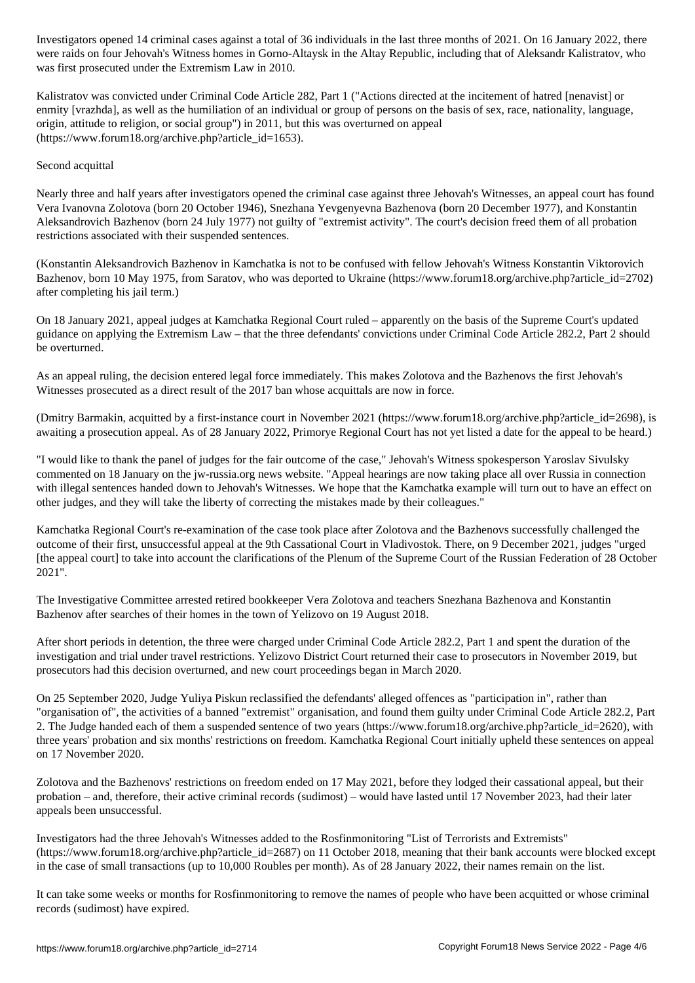were raids on four Jehovah's Witness homes in the Altay Republic, including that of Altaysk in the Altaysk in was first prosecuted under the Extremism Law in 2010.

Kalistratov was convicted under Criminal Code Article 282, Part 1 ("Actions directed at the incitement of hatred [nenavist] or enmity [vrazhda], as well as the humiliation of an individual or group of persons on the basis of sex, race, nationality, language, origin, attitude to religion, or social group") in 2011, but this was overturned on appeal (https://www.forum18.org/archive.php?article\_id=1653).

## Second acquittal

Nearly three and half years after investigators opened the criminal case against three Jehovah's Witnesses, an appeal court has found Vera Ivanovna Zolotova (born 20 October 1946), Snezhana Yevgenyevna Bazhenova (born 20 December 1977), and Konstantin Aleksandrovich Bazhenov (born 24 July 1977) not guilty of "extremist activity". The court's decision freed them of all probation restrictions associated with their suspended sentences.

(Konstantin Aleksandrovich Bazhenov in Kamchatka is not to be confused with fellow Jehovah's Witness Konstantin Viktorovich Bazhenov, born 10 May 1975, from Saratov, who was deported to Ukraine (https://www.forum18.org/archive.php?article\_id=2702) after completing his jail term.)

On 18 January 2021, appeal judges at Kamchatka Regional Court ruled – apparently on the basis of the Supreme Court's updated guidance on applying the Extremism Law – that the three defendants' convictions under Criminal Code Article 282.2, Part 2 should be overturned.

As an appeal ruling, the decision entered legal force immediately. This makes Zolotova and the Bazhenovs the first Jehovah's Witnesses prosecuted as a direct result of the 2017 ban whose acquittals are now in force.

(Dmitry Barmakin, acquitted by a first-instance court in November 2021 (https://www.forum18.org/archive.php?article\_id=2698), is awaiting a prosecution appeal. As of 28 January 2022, Primorye Regional Court has not yet listed a date for the appeal to be heard.)

"I would like to thank the panel of judges for the fair outcome of the case," Jehovah's Witness spokesperson Yaroslav Sivulsky commented on 18 January on the jw-russia.org news website. "Appeal hearings are now taking place all over Russia in connection with illegal sentences handed down to Jehovah's Witnesses. We hope that the Kamchatka example will turn out to have an effect on other judges, and they will take the liberty of correcting the mistakes made by their colleagues."

Kamchatka Regional Court's re-examination of the case took place after Zolotova and the Bazhenovs successfully challenged the outcome of their first, unsuccessful appeal at the 9th Cassational Court in Vladivostok. There, on 9 December 2021, judges "urged [the appeal court] to take into account the clarifications of the Plenum of the Supreme Court of the Russian Federation of 28 October 2021".

The Investigative Committee arrested retired bookkeeper Vera Zolotova and teachers Snezhana Bazhenova and Konstantin Bazhenov after searches of their homes in the town of Yelizovo on 19 August 2018.

After short periods in detention, the three were charged under Criminal Code Article 282.2, Part 1 and spent the duration of the investigation and trial under travel restrictions. Yelizovo District Court returned their case to prosecutors in November 2019, but prosecutors had this decision overturned, and new court proceedings began in March 2020.

On 25 September 2020, Judge Yuliya Piskun reclassified the defendants' alleged offences as "participation in", rather than "organisation of", the activities of a banned "extremist" organisation, and found them guilty under Criminal Code Article 282.2, Part 2. The Judge handed each of them a suspended sentence of two years (https://www.forum18.org/archive.php?article\_id=2620), with three years' probation and six months' restrictions on freedom. Kamchatka Regional Court initially upheld these sentences on appeal on 17 November 2020.

Zolotova and the Bazhenovs' restrictions on freedom ended on 17 May 2021, before they lodged their cassational appeal, but their probation – and, therefore, their active criminal records (sudimost) – would have lasted until 17 November 2023, had their later appeals been unsuccessful.

Investigators had the three Jehovah's Witnesses added to the Rosfinmonitoring "List of Terrorists and Extremists" (https://www.forum18.org/archive.php?article\_id=2687) on 11 October 2018, meaning that their bank accounts were blocked except in the case of small transactions (up to 10,000 Roubles per month). As of 28 January 2022, their names remain on the list.

It can take some weeks or months for Rosfinmonitoring to remove the names of people who have been acquitted or whose criminal records (sudimost) have expired.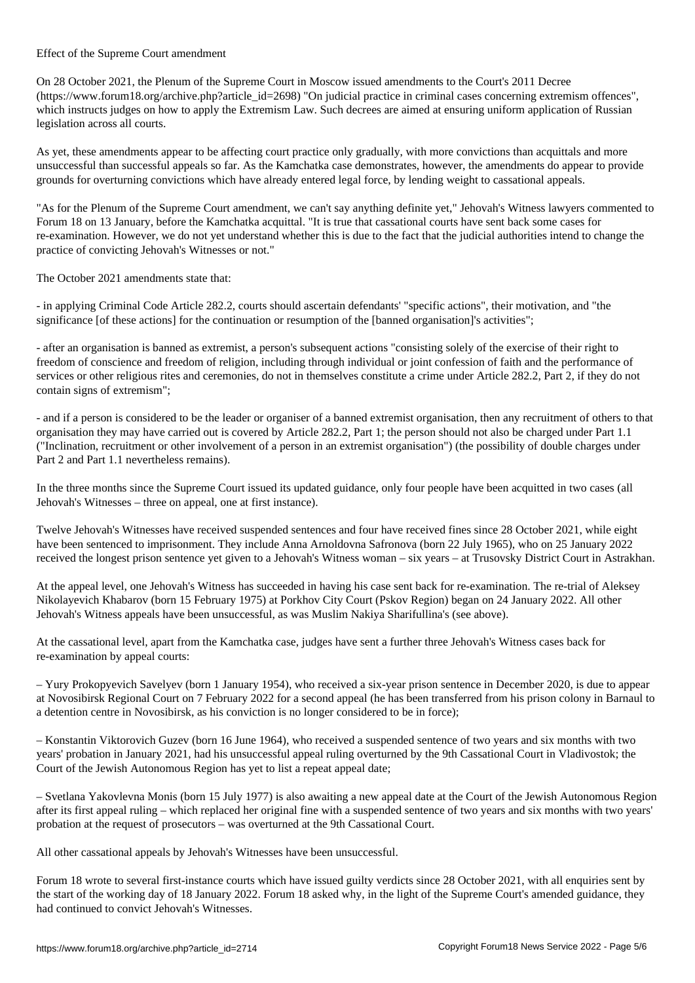On 28 October 2021, the Plenum of the Supreme Court in Moscow issued amendments to the Court's 2011 Decree (https://www.forum18.org/archive.php?article\_id=2698) "On judicial practice in criminal cases concerning extremism offences", which instructs judges on how to apply the Extremism Law. Such decrees are aimed at ensuring uniform application of Russian legislation across all courts.

As yet, these amendments appear to be affecting court practice only gradually, with more convictions than acquittals and more unsuccessful than successful appeals so far. As the Kamchatka case demonstrates, however, the amendments do appear to provide grounds for overturning convictions which have already entered legal force, by lending weight to cassational appeals.

"As for the Plenum of the Supreme Court amendment, we can't say anything definite yet," Jehovah's Witness lawyers commented to Forum 18 on 13 January, before the Kamchatka acquittal. "It is true that cassational courts have sent back some cases for re-examination. However, we do not yet understand whether this is due to the fact that the judicial authorities intend to change the practice of convicting Jehovah's Witnesses or not."

The October 2021 amendments state that:

Effect of the Supreme Court amendment

- in applying Criminal Code Article 282.2, courts should ascertain defendants' "specific actions", their motivation, and "the significance [of these actions] for the continuation or resumption of the [banned organisation]'s activities";

- after an organisation is banned as extremist, a person's subsequent actions "consisting solely of the exercise of their right to freedom of conscience and freedom of religion, including through individual or joint confession of faith and the performance of services or other religious rites and ceremonies, do not in themselves constitute a crime under Article 282.2, Part 2, if they do not contain signs of extremism";

- and if a person is considered to be the leader or organiser of a banned extremist organisation, then any recruitment of others to that organisation they may have carried out is covered by Article 282.2, Part 1; the person should not also be charged under Part 1.1 ("Inclination, recruitment or other involvement of a person in an extremist organisation") (the possibility of double charges under Part 2 and Part 1.1 nevertheless remains).

In the three months since the Supreme Court issued its updated guidance, only four people have been acquitted in two cases (all Jehovah's Witnesses – three on appeal, one at first instance).

Twelve Jehovah's Witnesses have received suspended sentences and four have received fines since 28 October 2021, while eight have been sentenced to imprisonment. They include Anna Arnoldovna Safronova (born 22 July 1965), who on 25 January 2022 received the longest prison sentence yet given to a Jehovah's Witness woman – six years – at Trusovsky District Court in Astrakhan.

At the appeal level, one Jehovah's Witness has succeeded in having his case sent back for re-examination. The re-trial of Aleksey Nikolayevich Khabarov (born 15 February 1975) at Porkhov City Court (Pskov Region) began on 24 January 2022. All other Jehovah's Witness appeals have been unsuccessful, as was Muslim Nakiya Sharifullina's (see above).

At the cassational level, apart from the Kamchatka case, judges have sent a further three Jehovah's Witness cases back for re-examination by appeal courts:

– Yury Prokopyevich Savelyev (born 1 January 1954), who received a six-year prison sentence in December 2020, is due to appear at Novosibirsk Regional Court on 7 February 2022 for a second appeal (he has been transferred from his prison colony in Barnaul to a detention centre in Novosibirsk, as his conviction is no longer considered to be in force);

– Konstantin Viktorovich Guzev (born 16 June 1964), who received a suspended sentence of two years and six months with two years' probation in January 2021, had his unsuccessful appeal ruling overturned by the 9th Cassational Court in Vladivostok; the Court of the Jewish Autonomous Region has yet to list a repeat appeal date;

– Svetlana Yakovlevna Monis (born 15 July 1977) is also awaiting a new appeal date at the Court of the Jewish Autonomous Region after its first appeal ruling – which replaced her original fine with a suspended sentence of two years and six months with two years' probation at the request of prosecutors – was overturned at the 9th Cassational Court.

All other cassational appeals by Jehovah's Witnesses have been unsuccessful.

Forum 18 wrote to several first-instance courts which have issued guilty verdicts since 28 October 2021, with all enquiries sent by the start of the working day of 18 January 2022. Forum 18 asked why, in the light of the Supreme Court's amended guidance, they had continued to convict Jehovah's Witnesses.